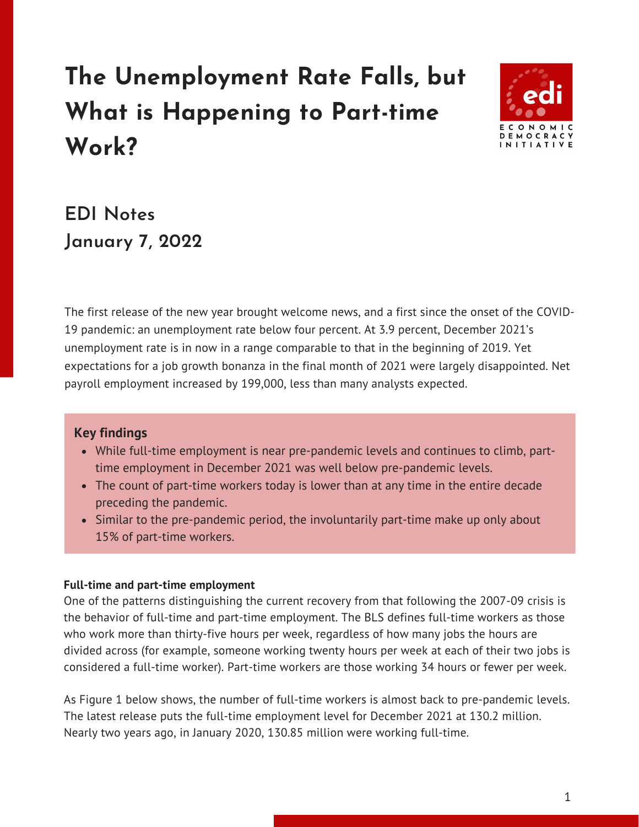# **The Unemployment Rate Falls, but What is Happening to Part-time Work?**



# **EDI Notes January 7, 2022**

The first release of the new year brought welcome news, and a first since the onset of the COVID-19 pandemic: an unemployment rate below four percent. At 3.9 percent, December 2021's unemployment rate is in now in a range comparable to that in the beginning of 2019. Yet expectations for a job growth bonanza in the final month of 2021 were largely disappointed. Net payroll employment increased by 199,000, less than many analysts expected.

#### **Key findings**

- While full-time employment is near pre-pandemic levels and continues to climb, parttime employment in December 2021 was well below pre-pandemic levels.
- The count of part-time workers today is lower than at any time in the entire decade preceding the pandemic.
- Similar to the pre-pandemic period, the involuntarily part-time make up only about 15% of part-time workers.

#### **Full-time and part-time employment**

One of the patterns distinguishing the current recovery from that following the 2007-09 crisis is the behavior of full-time and part-time employment. The BLS defines full-time workers as those who work more than thirty-five hours per week, regardless of how many jobs the hours are divided across (for example, someone working twenty hours per week at each of their two jobs is considered a full-time worker). Part-time workers are those working 34 hours or fewer per week.

As Figure 1 below shows, the number of full-time workers is almost back to pre-pandemic levels. The latest release puts the full-time employment level for December 2021 at 130.2 million. Nearly two years ago, in January 2020, 130.85 million were working full-time.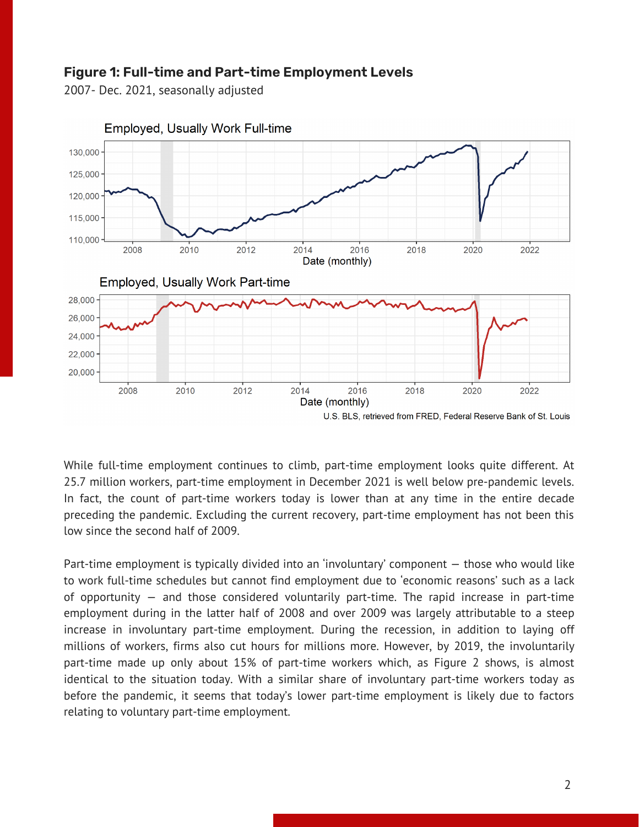#### **Figure 1: Full-time and Part-time Employment Levels**

2007- Dec. 2021, seasonally adjusted



While full-time employment continues to climb, part-time employment looks quite different. At 25.7 million workers, part-time employment in December 2021 is well below pre-pandemic levels. In fact, the count of part-time workers today is lower than at any time in the entire decade preceding the pandemic. Excluding the current recovery, part-time employment has not been this low since the second half of 2009.

Part-time employment is typically divided into an 'involuntary' component — those who would like to work full-time schedules but cannot find employment due to 'economic reasons' such as a lack of opportunity — and those considered voluntarily part-time. The rapid increase in part-time employment during in the latter half of 2008 and over 2009 was largely attributable to a steep increase in involuntary part-time employment. During the recession, in addition to laying off millions of workers, firms also cut hours for millions more. However, by 2019, the involuntarily part-time made up only about 15% of part-time workers which, as Figure 2 shows, is almost identical to the situation today. With a similar share of involuntary part-time workers today as before the pandemic, it seems that today's lower part-time employment is likely due to factors relating to voluntary part-time employment.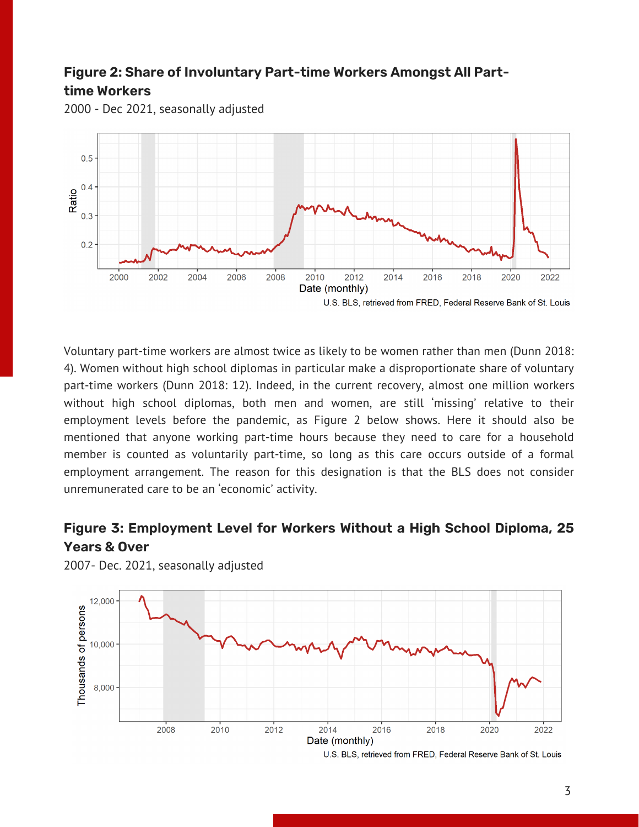## **Figure 2: Share of Involuntary Part-time Workers Amongst All Parttime Workers**



2000 - Dec 2021, seasonally adjusted

Voluntary part-time workers are almost twice as likely to be women rather than men (Dunn 2018: 4). Women without high school diplomas in particular make a disproportionate share of voluntary part-time workers (Dunn 2018: 12). Indeed, in the current recovery, almost one million workers without high school diplomas, both men and women, are still 'missing' relative to their employment levels before the pandemic, as Figure 2 below shows. Here it should also be mentioned that anyone working part-time hours because they need to care for a household member is counted as voluntarily part-time, so long as this care occurs outside of a formal employment arrangement. The reason for this designation is that the BLS does not consider unremunerated care to be an 'economic' activity.

## **Figure 3: Employment Level for Workers Without a High School Diploma, 25 Years & Over**



2007- Dec. 2021, seasonally adjusted